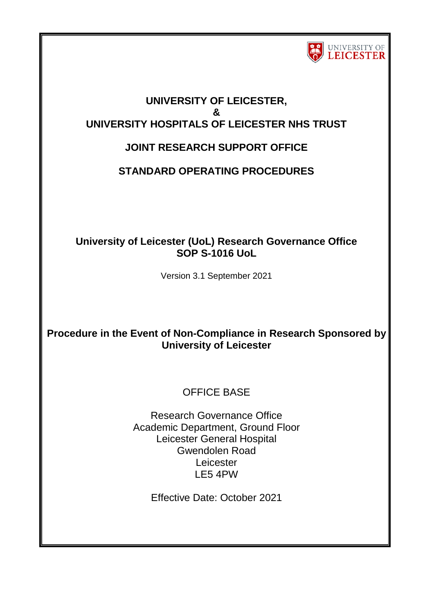

### **UNIVERSITY OF LEICESTER, & UNIVERSITY HOSPITALS OF LEICESTER NHS TRUST**

# **JOINT RESEARCH SUPPORT OFFICE**

## **STANDARD OPERATING PROCEDURES**

### **University of Leicester (UoL) Research Governance Office SOP S-1016 UoL**

Version 3.1 September 2021

## **Procedure in the Event of Non-Compliance in Research Sponsored by University of Leicester**

# OFFICE BASE

Research Governance Office Academic Department, Ground Floor Leicester General Hospital Gwendolen Road **Leicester** LE5 4PW

Effective Date: October 2021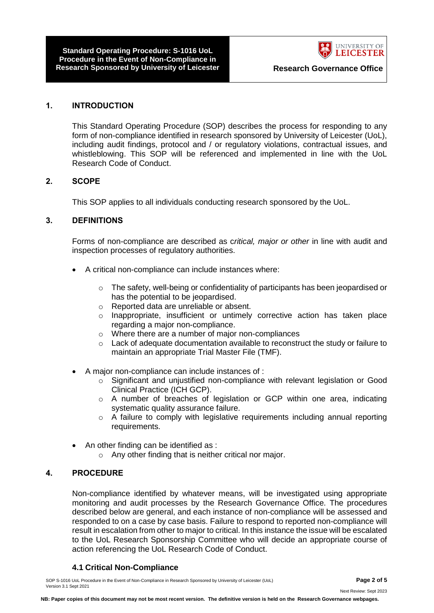**Standard Operating Procedure: S-1016 UoL Procedure in the Event of Non-Compliance in Research Sponsored by University of Leicester <b>Research Governance Office** 



#### **1. INTRODUCTION**

This Standard Operating Procedure (SOP) describes the process for responding to any form of non-compliance identified in research sponsored by University of Leicester (UoL), including audit findings, protocol and / or regulatory violations, contractual issues, and whistleblowing. This SOP will be referenced and implemented in line with the UoL Research Code of Conduct.

#### **2. SCOPE**

This SOP applies to all individuals conducting research sponsored by the UoL.

#### **3. DEFINITIONS**

Forms of non-compliance are described as c*ritical, major or other* in line with audit and inspection processes of regulatory authorities.

- A critical non-compliance can include instances where:
	- $\circ$  The safety, well-being or confidentiality of participants has been jeopardised or has the potential to be jeopardised.
	- o Reported data are unreliable or absent.
	- o Inappropriate, insufficient or untimely corrective action has taken place regarding a major non-compliance.
	- o Where there are a number of major non-compliances
	- $\circ$  Lack of adequate documentation available to reconstruct the study or failure to maintain an appropriate Trial Master File (TMF).
- A major non-compliance can include instances of :
	- o Significant and unjustified non-compliance with relevant legislation or Good Clinical Practice (ICH GCP).
	- $\circ$  A number of breaches of legislation or GCP within one area, indicating systematic quality assurance failure.
	- o A failure to comply with legislative requirements including annual reporting requirements.
- An other finding can be identified as :
	- o Any other finding that is neither critical nor major.

#### **4. PROCEDURE**

Non-compliance identified by whatever means, will be investigated using appropriate monitoring and audit processes by the Research Governance Office. The procedures described below are general, and each instance of non-compliance will be assessed and responded to on a case by case basis. Failure to respond to reported non-compliance will result in escalation from other to major to critical. In this instance the issue will be escalated to the UoL Research Sponsorship Committee who will decide an appropriate course of action referencing the UoL Research Code of Conduct.

#### **4.1 Critical Non-Compliance**

Next Review: Sept 2023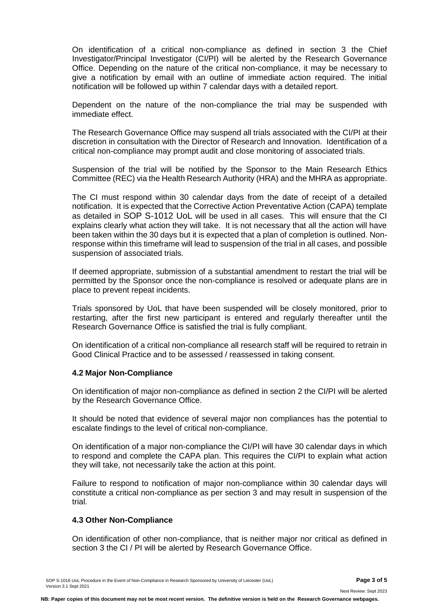On identification of a critical non-compliance as defined in section 3 the Chief Investigator/Principal Investigator (CI/PI) will be alerted by the Research Governance Office. Depending on the nature of the critical non-compliance, it may be necessary to give a notification by email with an outline of immediate action required. The initial notification will be followed up within 7 calendar days with a detailed report.

Dependent on the nature of the non-compliance the trial may be suspended with immediate effect.

The Research Governance Office may suspend all trials associated with the CI/PI at their discretion in consultation with the Director of Research and Innovation. Identification of a critical non-compliance may prompt audit and close monitoring of associated trials.

Suspension of the trial will be notified by the Sponsor to the Main Research Ethics Committee (REC) via the Health Research Authority (HRA) and the MHRA as appropriate.

The CI must respond within 30 calendar days from the date of receipt of a detailed notification. It is expected that the Corrective Action Preventative Action (CAPA) template as detailed in SOP S-1012 UoL will be used in all cases. This will ensure that the CI explains clearly what action they will take. It is not necessary that all the action will have been taken within the 30 days but it is expected that a plan of completion is outlined. Nonresponse within this timeframe will lead to suspension of the trial in all cases, and possible suspension of associated trials.

If deemed appropriate, submission of a substantial amendment to restart the trial will be permitted by the Sponsor once the non-compliance is resolved or adequate plans are in place to prevent repeat incidents.

Trials sponsored by UoL that have been suspended will be closely monitored, prior to restarting, after the first new participant is entered and regularly thereafter until the Research Governance Office is satisfied the trial is fully compliant.

On identification of a critical non-compliance all research staff will be required to retrain in Good Clinical Practice and to be assessed / reassessed in taking consent.

#### **4.2 Major Non-Compliance**

On identification of major non-compliance as defined in section 2 the CI/PI will be alerted by the Research Governance Office.

It should be noted that evidence of several major non compliances has the potential to escalate findings to the level of critical non-compliance.

On identification of a major non-compliance the CI/PI will have 30 calendar days in which to respond and complete the CAPA plan. This requires the CI/PI to explain what action they will take, not necessarily take the action at this point.

Failure to respond to notification of major non-compliance within 30 calendar days will constitute a critical non-compliance as per section 3 and may result in suspension of the trial.

#### **4.3 Other Non-Compliance**

On identification of other non-compliance, that is neither major nor critical as defined in section 3 the CI / PI will be alerted by Research Governance Office.

Next Review: Sept 2023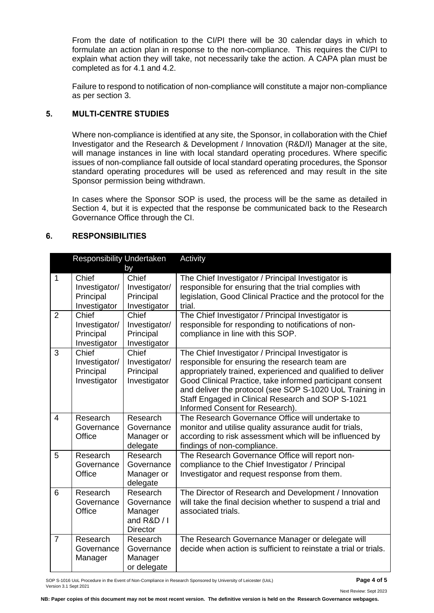From the date of notification to the CI/PI there will be 30 calendar days in which to formulate an action plan in response to the non-compliance. This requires the CI/PI to explain what action they will take, not necessarily take the action. A CAPA plan must be completed as for 4.1 and 4.2.

Failure to respond to notification of non-compliance will constitute a major non-compliance as per section 3.

#### **5. MULTI-CENTRE STUDIES**

Where non-compliance is identified at any site, the Sponsor, in collaboration with the Chief Investigator and the Research & Development / Innovation (R&D/I) Manager at the site, will manage instances in line with local standard operating procedures. Where specific issues of non-compliance fall outside of local standard operating procedures, the Sponsor standard operating procedures will be used as referenced and may result in the site Sponsor permission being withdrawn.

In cases where the Sponsor SOP is used, the process will be the same as detailed in Section 4, but it is expected that the response be communicated back to the Research Governance Office through the CI.

#### **6. RESPONSIBILITIES**

|                 | Responsibility Undertaken                                           |                                                                     | Activity                                                                                                                                                                                                                                                                                                                                                                             |
|-----------------|---------------------------------------------------------------------|---------------------------------------------------------------------|--------------------------------------------------------------------------------------------------------------------------------------------------------------------------------------------------------------------------------------------------------------------------------------------------------------------------------------------------------------------------------------|
| $\mathbf{1}$    | Chief<br>Investigator/<br>Principal                                 | by<br>Chief<br>Investigator/<br>Principal                           | The Chief Investigator / Principal Investigator is<br>responsible for ensuring that the trial complies with<br>legislation, Good Clinical Practice and the protocol for the                                                                                                                                                                                                          |
| 2               | Investigator<br>Chief<br>Investigator/<br>Principal<br>Investigator | Investigator<br>Chief<br>Investigator/<br>Principal<br>Investigator | trial.<br>The Chief Investigator / Principal Investigator is<br>responsible for responding to notifications of non-<br>compliance in line with this SOP.                                                                                                                                                                                                                             |
| 3               | Chief<br>Investigator/<br>Principal<br>Investigator                 | Chief<br>Investigator/<br>Principal<br>Investigator                 | The Chief Investigator / Principal Investigator is<br>responsible for ensuring the research team are<br>appropriately trained, experienced and qualified to deliver<br>Good Clinical Practice, take informed participant consent<br>and deliver the protocol (see SOP S-1020 UoL Training in<br>Staff Engaged in Clinical Research and SOP S-1021<br>Informed Consent for Research). |
| $\overline{4}$  | Research<br>Governance<br>Office                                    | Research<br>Governance<br>Manager or<br>delegate                    | The Research Governance Office will undertake to<br>monitor and utilise quality assurance audit for trials,<br>according to risk assessment which will be influenced by<br>findings of non-compliance.                                                                                                                                                                               |
| 5               | Research<br>Governance<br>Office                                    | Research<br>Governance<br>Manager or<br>delegate                    | The Research Governance Office will report non-<br>compliance to the Chief Investigator / Principal<br>Investigator and request response from them.                                                                                                                                                                                                                                  |
| $6\phantom{1}6$ | Research<br>Governance<br>Office                                    | Research<br>Governance<br>Manager<br>and R&D / I<br><b>Director</b> | The Director of Research and Development / Innovation<br>will take the final decision whether to suspend a trial and<br>associated trials.                                                                                                                                                                                                                                           |
| $\overline{7}$  | Research<br>Governance<br>Manager                                   | Research<br>Governance<br>Manager<br>or delegate                    | The Research Governance Manager or delegate will<br>decide when action is sufficient to reinstate a trial or trials.                                                                                                                                                                                                                                                                 |

SOP S-1016 UoL Procedure in the Event of Non-Compliance in Research Sponsored by University of Leicester (UoL) **Page 4 of 5** Version 3.1 Sept 2021

Next Review: Sept 2023

**NB: Paper copies of this document may not be most recent version. The definitive version is held on the Research Governance webpages.**